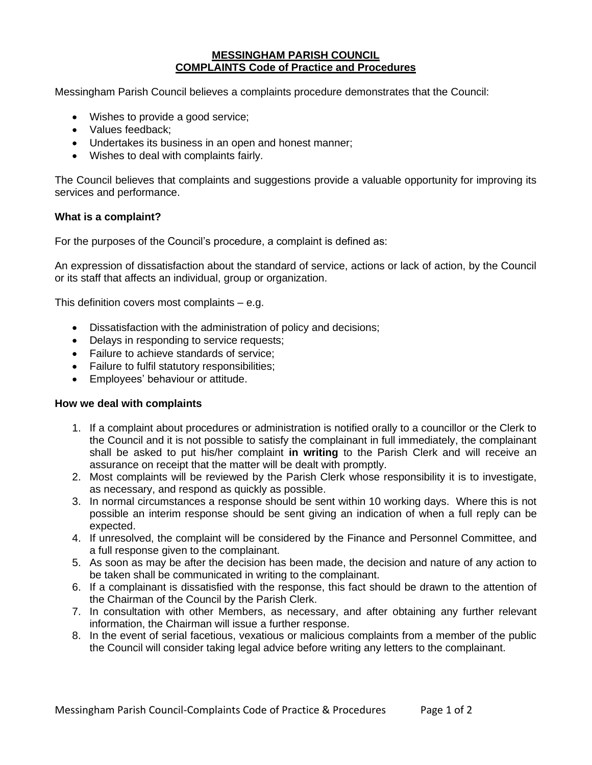## **MESSINGHAM PARISH COUNCIL COMPLAINTS Code of Practice and Procedures**

Messingham Parish Council believes a complaints procedure demonstrates that the Council:

- Wishes to provide a good service;
- Values feedback:
- Undertakes its business in an open and honest manner;
- Wishes to deal with complaints fairly.

The Council believes that complaints and suggestions provide a valuable opportunity for improving its services and performance.

## **What is a complaint?**

For the purposes of the Council's procedure, a complaint is defined as:

An expression of dissatisfaction about the standard of service, actions or lack of action, by the Council or its staff that affects an individual, group or organization.

This definition covers most complaints – e.g.

- Dissatisfaction with the administration of policy and decisions;
- Delays in responding to service requests;
- Failure to achieve standards of service;
- Failure to fulfil statutory responsibilities;
- Employees' behaviour or attitude.

#### **How we deal with complaints**

- 1. If a complaint about procedures or administration is notified orally to a councillor or the Clerk to the Council and it is not possible to satisfy the complainant in full immediately, the complainant shall be asked to put his/her complaint **in writing** to the Parish Clerk and will receive an assurance on receipt that the matter will be dealt with promptly.
- 2. Most complaints will be reviewed by the Parish Clerk whose responsibility it is to investigate, as necessary, and respond as quickly as possible.
- 3. In normal circumstances a response should be sent within 10 working days. Where this is not possible an interim response should be sent giving an indication of when a full reply can be expected.
- 4. If unresolved, the complaint will be considered by the Finance and Personnel Committee, and a full response given to the complainant.
- 5. As soon as may be after the decision has been made, the decision and nature of any action to be taken shall be communicated in writing to the complainant.
- 6. If a complainant is dissatisfied with the response, this fact should be drawn to the attention of the Chairman of the Council by the Parish Clerk.
- 7. In consultation with other Members, as necessary, and after obtaining any further relevant information, the Chairman will issue a further response.
- 8. In the event of serial facetious, vexatious or malicious complaints from a member of the public the Council will consider taking legal advice before writing any letters to the complainant.